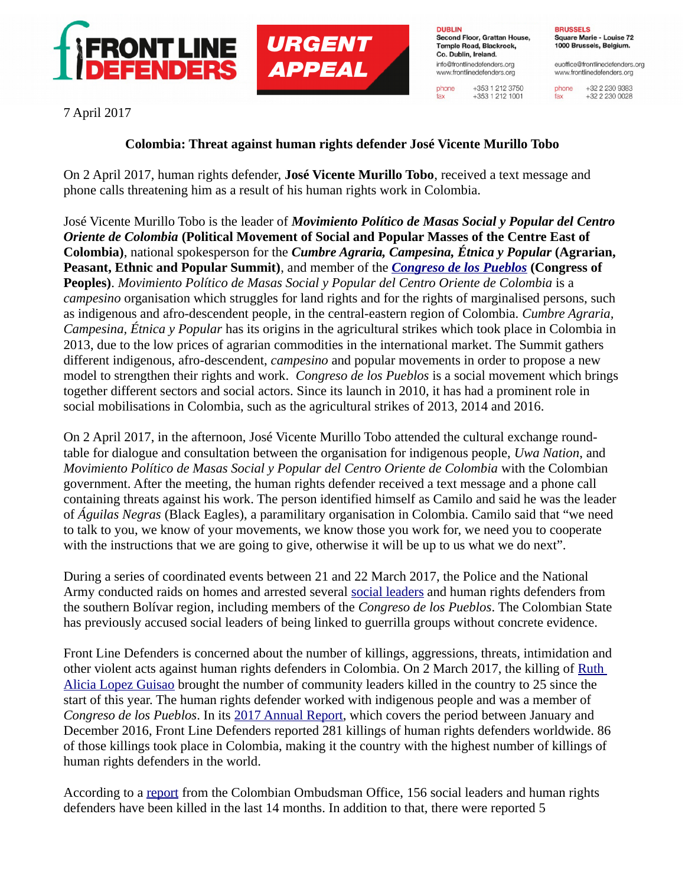



**DUBLIN** Second Floor, Grattan House, Temple Road, Blackrock. Co. Dublin, Ireland. info@frontlinedefenders.org www.frontlinedefenders.org

phone

fax

+353 1 212 3750

 $+353$  1 212 1001

**BRUSSELS** Square Marie - Louise 72 1000 Brussels, Belgium.

euoffice@frontlinedefenders.org www.frontlinedefenders.org

+32 2 230 9383 phone +32 2 230 0028 fax

7 April 2017

## **Colombia: Threat against human rights defender José Vicente Murillo Tobo**

On 2 April 2017, human rights defender, **José Vicente Murillo Tobo**, received a text message and phone calls threatening him as a result of his human rights work in Colombia.

José Vicente Murillo Tobo is the leader of *Movimiento Político de Masas Social y Popular del Centro Oriente de Colombia* **(Political Movement of Social and Popular Masses of the Centre East of Colombia)**, national spokesperson for the *Cumbre Agraria, Campesina, Étnica y Popular* **(Agrarian, Peasant, Ethnic and Popular Summit)**, and member of the *[Congreso de los Pueblos](https://www.frontlinedefenders.org/en/profile/congreso-de-los-pueblos)* **(Congress of Peoples)**. *Movimiento Político de Masas Social y Popular del Centro Oriente de Colombia* is a *campesino* organisation which struggles for land rights and for the rights of marginalised persons, such as indigenous and afro-descendent people, in the central-eastern region of Colombia. *Cumbre Agraria, Campesina, Étnica y Popular* has its origins in the agricultural strikes which took place in Colombia in 2013, due to the low prices of agrarian commodities in the international market. The Summit gathers different indigenous, afro-descendent, *campesino* and popular movements in order to propose a new model to strengthen their rights and work. *Congreso de los Pueblos* is a social movement which brings together different sectors and social actors. Since its launch in 2010, it has had a prominent role in social mobilisations in Colombia, such as the agricultural strikes of 2013, 2014 and 2016.

On 2 April 2017, in the afternoon, José Vicente Murillo Tobo attended the cultural exchange roundtable for dialogue and consultation between the organisation for indigenous people, *Uwa Nation*, and *Movimiento Político de Masas Social y Popular del Centro Oriente de Colombia* with the Colombian government. After the meeting, the human rights defender received a text message and a phone call containing threats against his work. The person identified himself as Camilo and said he was the leader of *Águilas Negras* (Black Eagles), a paramilitary organisation in Colombia. Camilo said that "we need to talk to you, we know of your movements, we know those you work for, we need you to cooperate with the instructions that we are going to give, otherwise it will be up to us what we do next".

During a series of coordinated events between 21 and 22 March 2017, the Police and the National Army conducted raids on homes and arrested several [social leaders](https://www.frontlinedefenders.org/en/case/several-members-congreso-de-los-pueblos-and-cisbcsc-detained#case-update-id-5427) and human rights defenders from the southern Bolívar region, including members of the *Congreso de los Pueblos*. The Colombian State has previously accused social leaders of being linked to guerrilla groups without concrete evidence.

Front Line Defenders is concerned about the number of killings, aggressions, threats, intimidation and other violent acts against human rights defenders in Colombia. On 2 March 2017, the killing of [Ruth](https://www.frontlinedefenders.org/en/case/ruth-alicia-lopez-guisao-killed)  [Alicia Lopez Guisao](https://www.frontlinedefenders.org/en/case/ruth-alicia-lopez-guisao-killed) brought the number of community leaders killed in the country to 25 since the start of this year. The human rights defender worked with indigenous people and was a member of *Congreso de los Pueblos*. In its [2017 Annual Report,](https://www.frontlinedefenders.org/en/resource-publication/annual-report-human-rights-defenders-risk-2016) which covers the period between January and December 2016, Front Line Defenders reported 281 killings of human rights defenders worldwide. 86 of those killings took place in Colombia, making it the country with the highest number of killings of human rights defenders in the world.

According to a [report](http://www.defensoria.gov.co/es/nube/noticias/6236/156-l%C3%ADderes-sociales-y-defensores-de-derechos-humanos-han-sido-asesinados-en-los-%C3%BAltimos-14-meses-Defensor%C3%ADa-Defensor%C3%ADa-del-Pueblo-l%C3%ADderes-sociales-Defensor-del-Pueblo-Colombia-l%C3%ADderes-sociales.htm) from the Colombian Ombudsman Office, 156 social leaders and human rights defenders have been killed in the last 14 months. In addition to that, there were reported 5